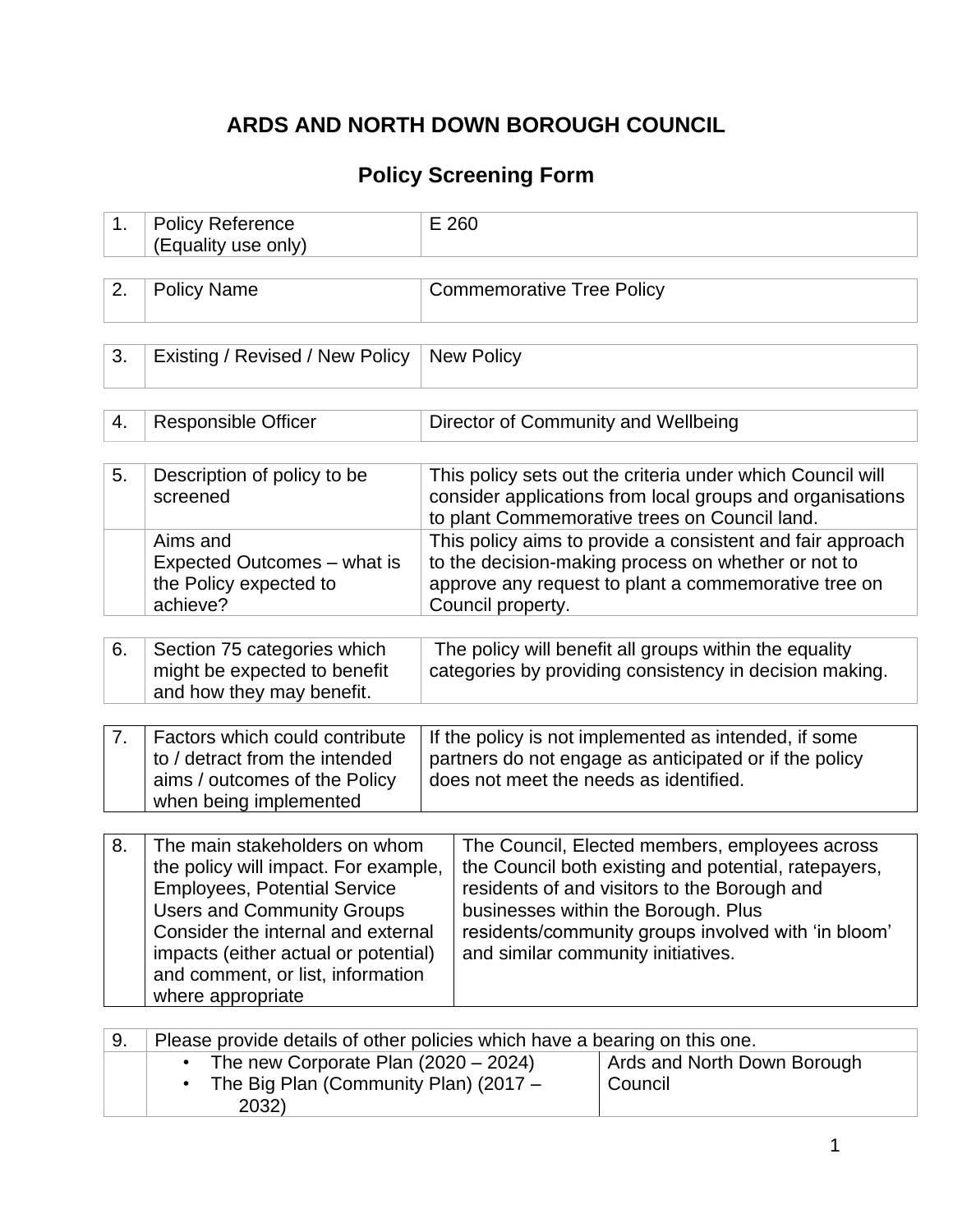# **ARDS AND NORTH DOWN BOROUGH COUNCIL**

# **Policy Screening Form**

| 1. | <b>Policy Reference</b><br>(Equality use only)                                                                                                                                                                                                                                            | E 260                                                                                                             |                                                                                                                                                                                                                                                                                            |                                                                                                                                                                          |  |  |  |  |  |
|----|-------------------------------------------------------------------------------------------------------------------------------------------------------------------------------------------------------------------------------------------------------------------------------------------|-------------------------------------------------------------------------------------------------------------------|--------------------------------------------------------------------------------------------------------------------------------------------------------------------------------------------------------------------------------------------------------------------------------------------|--------------------------------------------------------------------------------------------------------------------------------------------------------------------------|--|--|--|--|--|
|    |                                                                                                                                                                                                                                                                                           |                                                                                                                   |                                                                                                                                                                                                                                                                                            |                                                                                                                                                                          |  |  |  |  |  |
| 2. | <b>Policy Name</b>                                                                                                                                                                                                                                                                        |                                                                                                                   | <b>Commemorative Tree Policy</b>                                                                                                                                                                                                                                                           |                                                                                                                                                                          |  |  |  |  |  |
|    |                                                                                                                                                                                                                                                                                           |                                                                                                                   |                                                                                                                                                                                                                                                                                            |                                                                                                                                                                          |  |  |  |  |  |
| 3. | Existing / Revised / New Policy                                                                                                                                                                                                                                                           |                                                                                                                   | <b>New Policy</b>                                                                                                                                                                                                                                                                          |                                                                                                                                                                          |  |  |  |  |  |
|    |                                                                                                                                                                                                                                                                                           |                                                                                                                   |                                                                                                                                                                                                                                                                                            |                                                                                                                                                                          |  |  |  |  |  |
| 4. | <b>Responsible Officer</b>                                                                                                                                                                                                                                                                |                                                                                                                   | Director of Community and Wellbeing                                                                                                                                                                                                                                                        |                                                                                                                                                                          |  |  |  |  |  |
|    |                                                                                                                                                                                                                                                                                           |                                                                                                                   |                                                                                                                                                                                                                                                                                            |                                                                                                                                                                          |  |  |  |  |  |
| 5. | Description of policy to be<br>screened                                                                                                                                                                                                                                                   |                                                                                                                   |                                                                                                                                                                                                                                                                                            | This policy sets out the criteria under which Council will<br>consider applications from local groups and organisations<br>to plant Commemorative trees on Council land. |  |  |  |  |  |
|    | Aims and<br>Expected Outcomes - what is<br>the Policy expected to<br>achieve?                                                                                                                                                                                                             |                                                                                                                   | This policy aims to provide a consistent and fair approach<br>to the decision-making process on whether or not to<br>approve any request to plant a commemorative tree on<br>Council property.                                                                                             |                                                                                                                                                                          |  |  |  |  |  |
|    |                                                                                                                                                                                                                                                                                           |                                                                                                                   |                                                                                                                                                                                                                                                                                            |                                                                                                                                                                          |  |  |  |  |  |
| 6. | Section 75 categories which<br>might be expected to benefit<br>and how they may benefit.                                                                                                                                                                                                  | The policy will benefit all groups within the equality<br>categories by providing consistency in decision making. |                                                                                                                                                                                                                                                                                            |                                                                                                                                                                          |  |  |  |  |  |
|    |                                                                                                                                                                                                                                                                                           |                                                                                                                   |                                                                                                                                                                                                                                                                                            |                                                                                                                                                                          |  |  |  |  |  |
| 7. | Factors which could contribute<br>to / detract from the intended<br>aims / outcomes of the Policy<br>when being implemented                                                                                                                                                               |                                                                                                                   | If the policy is not implemented as intended, if some<br>partners do not engage as anticipated or if the policy<br>does not meet the needs as identified.                                                                                                                                  |                                                                                                                                                                          |  |  |  |  |  |
|    |                                                                                                                                                                                                                                                                                           |                                                                                                                   |                                                                                                                                                                                                                                                                                            |                                                                                                                                                                          |  |  |  |  |  |
| 8. | The main stakeholders on whom<br>the policy will impact. For example,<br><b>Employees, Potential Service</b><br><b>Users and Community Groups</b><br>Consider the internal and external<br>impacts (either actual or potential)<br>and comment, or list, information<br>where appropriate |                                                                                                                   | The Council, Elected members, employees across<br>the Council both existing and potential, ratepayers,<br>residents of and visitors to the Borough and<br>businesses within the Borough. Plus<br>residents/community groups involved with 'in bloom'<br>and similar community initiatives. |                                                                                                                                                                          |  |  |  |  |  |
|    |                                                                                                                                                                                                                                                                                           |                                                                                                                   |                                                                                                                                                                                                                                                                                            |                                                                                                                                                                          |  |  |  |  |  |
| 9. | Please provide details of other policies which have a bearing on this one.<br>The new Corporate Plan $(2020 - 2024)$<br>The Big Plan (Community Plan) (2017 -<br>2032)                                                                                                                    |                                                                                                                   |                                                                                                                                                                                                                                                                                            | Ards and North Down Borough<br>Council                                                                                                                                   |  |  |  |  |  |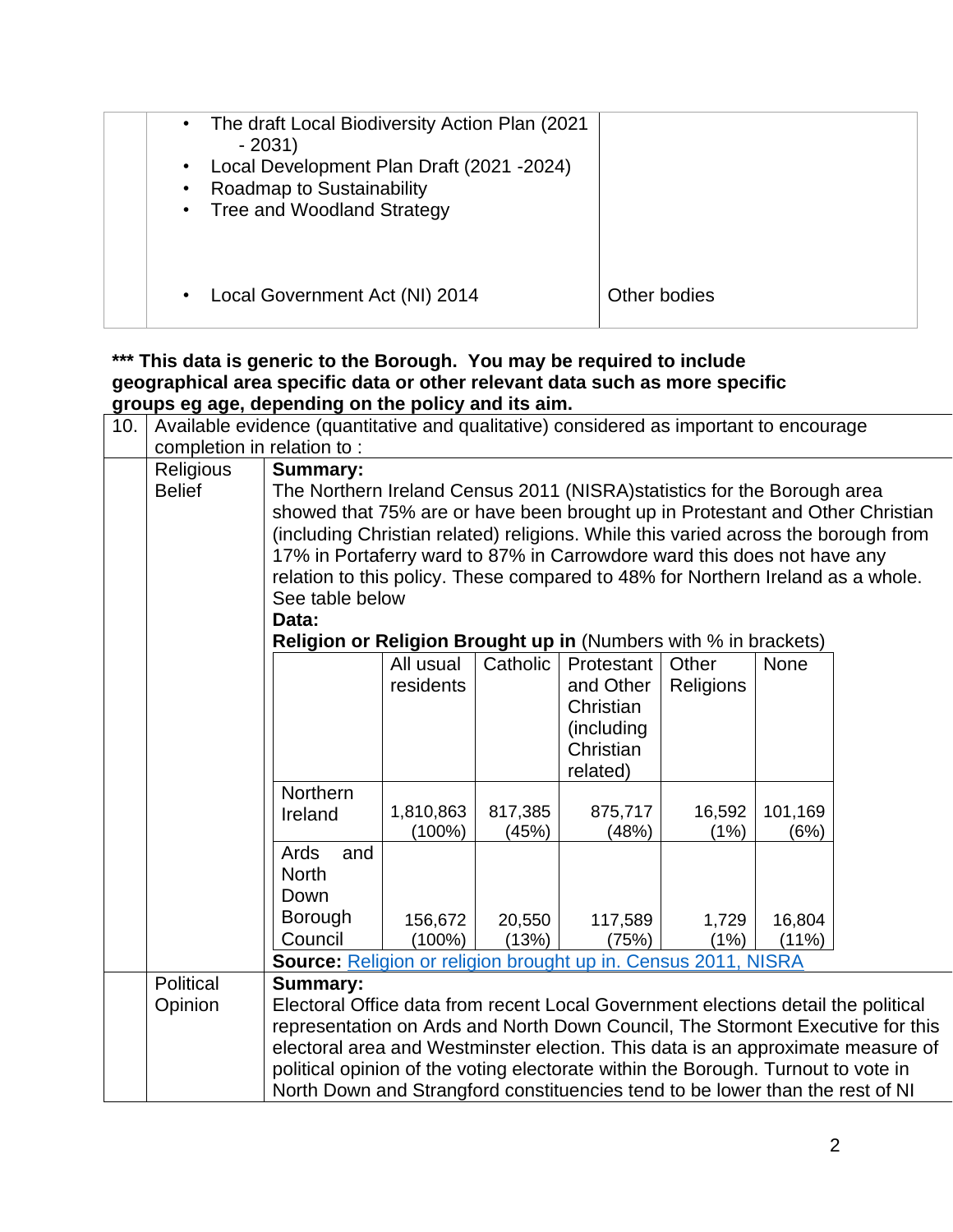| The draft Local Biodiversity Action Plan (2021)<br>$\bullet$<br>$-2031$<br>Local Development Plan Draft (2021 -2024)<br><b>Roadmap to Sustainability</b><br><b>Tree and Woodland Strategy</b><br>$\bullet$ |              |
|------------------------------------------------------------------------------------------------------------------------------------------------------------------------------------------------------------|--------------|
| Local Government Act (NI) 2014                                                                                                                                                                             | Other bodies |

#### **\*\*\* This data is generic to the Borough. You may be required to include geographical area specific data or other relevant data such as more specific groups eg age, depending on the policy and its aim.**

| 10. |                            | Available evidence (quantitative and qualitative) considered as important to encourage |                                                                                                                                                                     |                 |                  |               |             |  |
|-----|----------------------------|----------------------------------------------------------------------------------------|---------------------------------------------------------------------------------------------------------------------------------------------------------------------|-----------------|------------------|---------------|-------------|--|
|     | completion in relation to: |                                                                                        |                                                                                                                                                                     |                 |                  |               |             |  |
|     | Religious                  | Summary:                                                                               |                                                                                                                                                                     |                 |                  |               |             |  |
|     | <b>Belief</b>              | The Northern Ireland Census 2011 (NISRA) statistics for the Borough area               |                                                                                                                                                                     |                 |                  |               |             |  |
|     |                            | showed that 75% are or have been brought up in Protestant and Other Christian          |                                                                                                                                                                     |                 |                  |               |             |  |
|     |                            | (including Christian related) religions. While this varied across the borough from     |                                                                                                                                                                     |                 |                  |               |             |  |
|     |                            | 17% in Portaferry ward to 87% in Carrowdore ward this does not have any                |                                                                                                                                                                     |                 |                  |               |             |  |
|     |                            | relation to this policy. These compared to 48% for Northern Ireland as a whole.        |                                                                                                                                                                     |                 |                  |               |             |  |
|     |                            | See table below                                                                        |                                                                                                                                                                     |                 |                  |               |             |  |
|     |                            | Data:                                                                                  |                                                                                                                                                                     |                 |                  |               |             |  |
|     |                            |                                                                                        | <b>Religion or Religion Brought up in (Numbers with % in brackets)</b>                                                                                              |                 |                  |               |             |  |
|     |                            |                                                                                        | All usual                                                                                                                                                           | Catholic        | Protestant       | Other         | <b>None</b> |  |
|     |                            |                                                                                        | residents                                                                                                                                                           |                 | and Other        | Religions     |             |  |
|     |                            |                                                                                        |                                                                                                                                                                     |                 | Christian        |               |             |  |
|     |                            |                                                                                        |                                                                                                                                                                     |                 | (including       |               |             |  |
|     |                            |                                                                                        |                                                                                                                                                                     |                 | Christian        |               |             |  |
|     |                            |                                                                                        |                                                                                                                                                                     |                 | related)         |               |             |  |
|     |                            | Northern                                                                               |                                                                                                                                                                     |                 |                  |               |             |  |
|     |                            | Ireland                                                                                | 1,810,863                                                                                                                                                           | 817,385         | 875,717          | 16,592        | 101,169     |  |
|     |                            | Ards<br>and                                                                            | $(100\%)$                                                                                                                                                           | (45%)           | (48%)            | (1%)          | (6%)        |  |
|     |                            | <b>North</b>                                                                           |                                                                                                                                                                     |                 |                  |               |             |  |
|     |                            | Down                                                                                   |                                                                                                                                                                     |                 |                  |               |             |  |
|     |                            | Borough                                                                                |                                                                                                                                                                     |                 |                  |               | 16,804      |  |
|     |                            | Council                                                                                | 156,672<br>$(100\%)$                                                                                                                                                | 20,550<br>(13%) | 117,589<br>(75%) | 1,729<br>(1%) | (11%)       |  |
|     |                            | Source: Religion or religion brought up in. Census 2011, NISRA                         |                                                                                                                                                                     |                 |                  |               |             |  |
|     | Political                  | Summary:                                                                               |                                                                                                                                                                     |                 |                  |               |             |  |
|     | Opinion                    |                                                                                        |                                                                                                                                                                     |                 |                  |               |             |  |
|     |                            |                                                                                        | Electoral Office data from recent Local Government elections detail the political<br>representation on Ards and North Down Council, The Stormont Executive for this |                 |                  |               |             |  |
|     |                            |                                                                                        | electoral area and Westminster election. This data is an approximate measure of                                                                                     |                 |                  |               |             |  |
|     |                            | political opinion of the voting electorate within the Borough. Turnout to vote in      |                                                                                                                                                                     |                 |                  |               |             |  |
|     |                            | North Down and Strangford constituencies tend to be lower than the rest of NI          |                                                                                                                                                                     |                 |                  |               |             |  |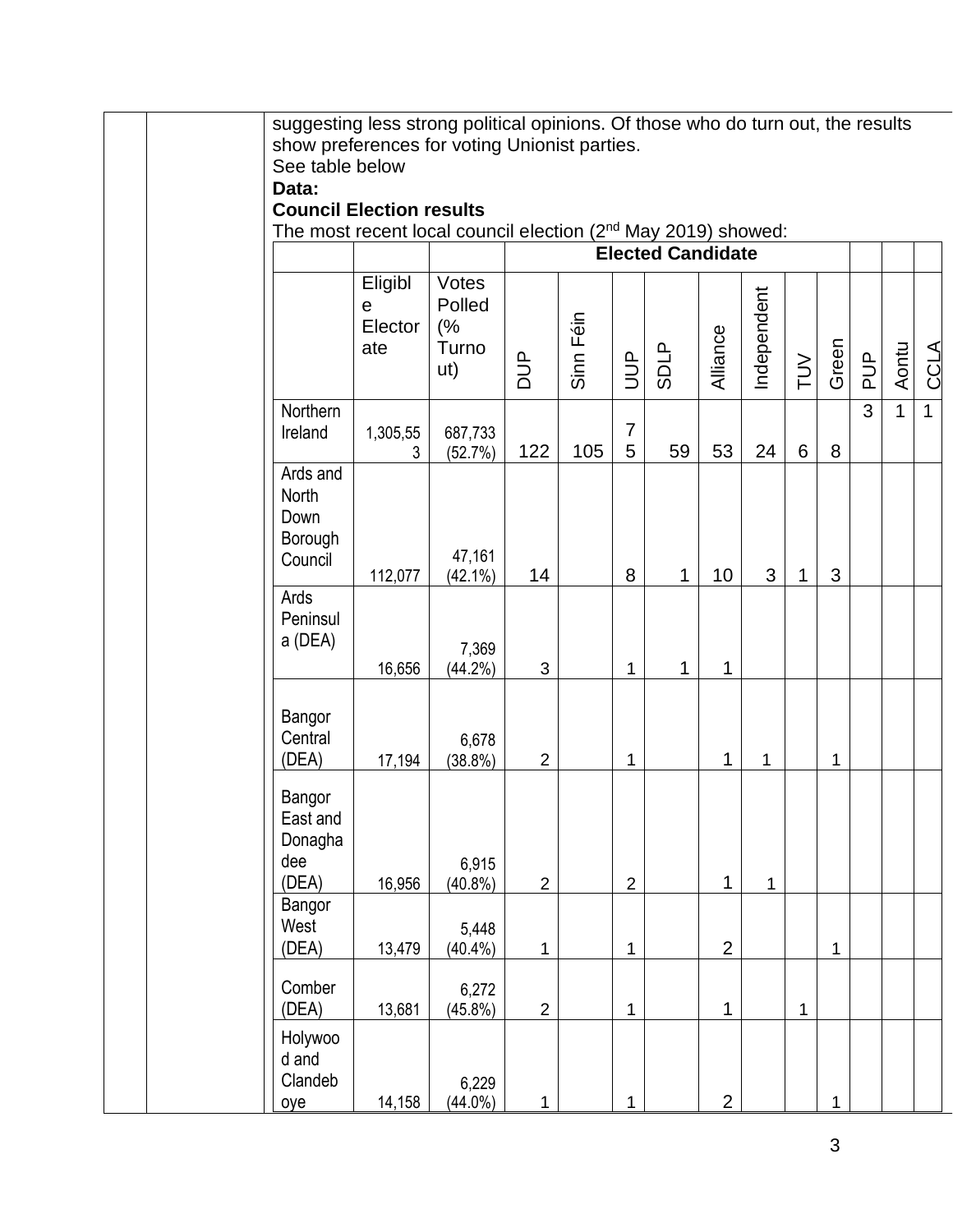| suggesting less strong political opinions. Of those who do turn out, the results<br>show preferences for voting Unionist parties.<br>See table below<br>Data:<br><b>Council Election results</b><br>The most recent local council election (2nd May 2019) showed: |                                |                                       |                |           |                     |                          |                |             |             |              |               |              |              |
|-------------------------------------------------------------------------------------------------------------------------------------------------------------------------------------------------------------------------------------------------------------------|--------------------------------|---------------------------------------|----------------|-----------|---------------------|--------------------------|----------------|-------------|-------------|--------------|---------------|--------------|--------------|
|                                                                                                                                                                                                                                                                   |                                |                                       |                |           |                     | <b>Elected Candidate</b> |                |             |             |              |               |              |              |
|                                                                                                                                                                                                                                                                   | Eligibl<br>е<br>Elector<br>ate | Votes<br>Polled<br>(%<br>Turno<br>ut) | <b>AUD</b>     | Sinn Féin | $\exists$           | <b>SDLP</b>              | Alliance       | Independent | $\geq$      | Green        | $\frac{p}{q}$ | Aontu        | <b>CCLA</b>  |
| Northern<br>Ireland                                                                                                                                                                                                                                               | 1,305,55<br>3                  | 687,733<br>(52.7%)                    | 122            | 105       | $\overline{7}$<br>5 | 59                       | 53             | 24          | 6           | 8            | 3             | $\mathbf{1}$ | $\mathbf{1}$ |
| Ards and<br>North<br>Down<br>Borough<br>Council                                                                                                                                                                                                                   | 112,077                        | 47,161<br>$(42.1\%)$                  | 14             |           | 8                   | $\mathbf{1}$             | 10             | 3           | 1           | 3            |               |              |              |
| Ards<br>Peninsul<br>a (DEA)                                                                                                                                                                                                                                       | 16,656                         | 7,369<br>$(44.2\%)$                   | $\mathfrak{B}$ |           | 1                   | 1                        | $\mathbf{1}$   |             |             |              |               |              |              |
| Bangor<br>Central<br>(DEA)                                                                                                                                                                                                                                        | 17,194                         | 6,678<br>$(38.8\%)$                   | $\overline{2}$ |           | 1                   |                          | 1              | 1           |             | $\mathbf{1}$ |               |              |              |
| Bangor<br>East and<br>Donagha<br>dee<br>(DEA)                                                                                                                                                                                                                     | 16,956                         | 6,915<br>$(40.8\%)$                   | $\overline{c}$ |           | $\overline{2}$      |                          | $\mathbf{1}$   | $\mathbf 1$ |             |              |               |              |              |
| Bangor<br>West<br>(DEA)                                                                                                                                                                                                                                           | 13,479                         | 5,448<br>$(40.4\%)$                   | 1              |           | 1                   |                          | $\overline{2}$ |             |             | $\mathbf 1$  |               |              |              |
| Comber<br>(DEA)                                                                                                                                                                                                                                                   | 13,681                         | 6,272<br>$(45.8\%)$                   | $\overline{2}$ |           | 1                   |                          | 1              |             | $\mathbf 1$ |              |               |              |              |
| Holywoo<br>d and<br>Clandeb<br>oye                                                                                                                                                                                                                                | 14,158                         | 6,229<br>$(44.0\%)$                   | 1              |           | 1                   |                          | $\overline{2}$ |             |             | 1            |               |              |              |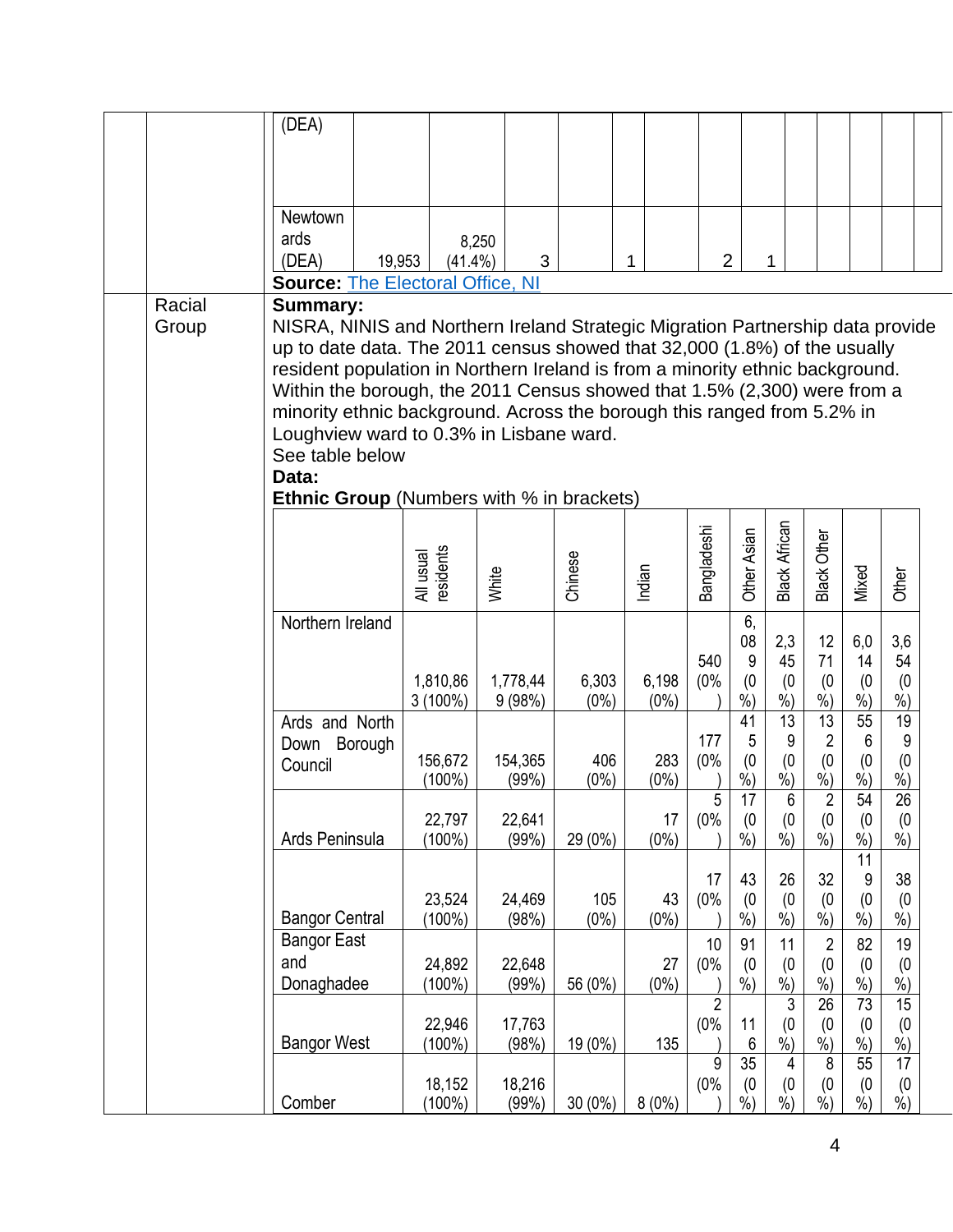|                 | (DEA)                                                                                                                                                                                                                                                                                                                                                                                                                                                                                                                                             |                        |                    |                  |                  |                            |                                   |                                          |                                                    |                                               |                                   |  |
|-----------------|---------------------------------------------------------------------------------------------------------------------------------------------------------------------------------------------------------------------------------------------------------------------------------------------------------------------------------------------------------------------------------------------------------------------------------------------------------------------------------------------------------------------------------------------------|------------------------|--------------------|------------------|------------------|----------------------------|-----------------------------------|------------------------------------------|----------------------------------------------------|-----------------------------------------------|-----------------------------------|--|
|                 |                                                                                                                                                                                                                                                                                                                                                                                                                                                                                                                                                   |                        |                    |                  |                  |                            |                                   |                                          |                                                    |                                               |                                   |  |
|                 |                                                                                                                                                                                                                                                                                                                                                                                                                                                                                                                                                   |                        |                    |                  |                  |                            |                                   |                                          |                                                    |                                               |                                   |  |
|                 | <b>Newtown</b>                                                                                                                                                                                                                                                                                                                                                                                                                                                                                                                                    |                        |                    |                  |                  |                            |                                   |                                          |                                                    |                                               |                                   |  |
|                 | ards<br>(DEA)                                                                                                                                                                                                                                                                                                                                                                                                                                                                                                                                     | 19,953<br>$(41.4\%)$   | 8,250<br>3         |                  | 1                | $\overline{2}$             |                                   | 1                                        |                                                    |                                               |                                   |  |
|                 | <b>Source: The Electoral Office, NI</b>                                                                                                                                                                                                                                                                                                                                                                                                                                                                                                           |                        |                    |                  |                  |                            |                                   |                                          |                                                    |                                               |                                   |  |
| Racial<br>Group | <b>Summary:</b><br>NISRA, NINIS and Northern Ireland Strategic Migration Partnership data provide<br>up to date data. The 2011 census showed that 32,000 (1.8%) of the usually<br>resident population in Northern Ireland is from a minority ethnic background.<br>Within the borough, the 2011 Census showed that 1.5% (2,300) were from a<br>minority ethnic background. Across the borough this ranged from 5.2% in<br>Loughview ward to 0.3% in Lisbane ward.<br>See table below<br>Data:<br><b>Ethnic Group</b> (Numbers with % in brackets) |                        |                    |                  |                  |                            |                                   |                                          |                                                    |                                               |                                   |  |
|                 |                                                                                                                                                                                                                                                                                                                                                                                                                                                                                                                                                   | All usual<br>residents | White              | Chinese          | Indian           | Bangladeshi                | Other Asian                       | <b>Black African</b>                     | <b>Black Other</b>                                 | Mixed                                         | Other                             |  |
|                 | Northern Ireland                                                                                                                                                                                                                                                                                                                                                                                                                                                                                                                                  | 1,810,86<br>$3(100\%)$ | 1,778,44<br>9(98%) | 6,303<br>$(0\%)$ | 6,198<br>$(0\%)$ | 540<br>(0%                 | 6,<br>08<br>$9\,$<br>(0)<br>$%$ ) | 2,3<br>45<br>(0)<br>$\sqrt[6]{\cdot}$    | 12<br>71<br>(0)<br>$\dot{\%})$                     | 6,0<br>14<br>(0)<br>$\frac{9}{6}$             | 3,6<br>54<br>(0)<br>$\frac{9}{6}$ |  |
|                 | Ards and North<br>Down Borough<br>Council                                                                                                                                                                                                                                                                                                                                                                                                                                                                                                         | 156,672<br>$(100\%)$   | 154,365<br>(99%)   | 406<br>$(0\%)$   | 283<br>$(0\%)$   | 177<br>(0%                 | 41<br>5<br>(0)<br>$\dot{\%})$     | 13<br>9<br>$^{(0}_{%)}$                  | 13<br>$\overline{2}$<br>$^{(0}_{%)}$               | 55<br>$6\phantom{1}6$<br>(0)<br>$\vec{0}_{0}$ | 19<br>9<br>(0)<br>$\frac{9}{6}$   |  |
|                 | Ards Peninsula                                                                                                                                                                                                                                                                                                                                                                                                                                                                                                                                    | 22,797<br>$(100\%)$    | 22,641<br>(99%)    | 29 (0%)          | 17<br>$(0\%)$    | 5<br>(0%                   | 17<br>(0)<br>$%$ )                | $\boldsymbol{6}$<br>(0)<br>$\frac{6}{6}$ | $\overline{2}$<br>(0)<br>$\overline{\frac{9}{6}})$ | $\overline{54}$<br>(0)<br>$%$ )               | 26<br>(0)<br>$%$ )                |  |
|                 | <b>Bangor Central</b>                                                                                                                                                                                                                                                                                                                                                                                                                                                                                                                             | 23,524<br>$(100\%)$    | 24,469<br>(98%)    | 105<br>$(0\%)$   | 43<br>$(0\%)$    | 17<br>(0%                  | 43<br>(0)<br>$%$ )                | 26<br>(0)<br>$\dot{\%}$                  | 32<br>(0)<br>$\dot{\%})$                           | 11<br>9<br>(0)<br>$\frac{9}{6}$               | 38<br>(0)<br>$\frac{9}{6}$        |  |
|                 | <b>Bangor East</b><br>and<br>Donaghadee                                                                                                                                                                                                                                                                                                                                                                                                                                                                                                           | 24,892<br>$(100\%)$    | 22,648<br>(99%     | 56 (0%)          | 27<br>$(0\%)$    | 10<br>(0%                  | 91<br>(0)<br>$\frac{9}{6}$        | 11<br>$^{(0}_{%)}$                       | $\overline{2}$<br>(0)<br>$\dot{\%})$               | 82<br>(0)<br>$\dot{\%})$                      | 19<br>(0)<br>$\dot{\%})$          |  |
|                 | <b>Bangor West</b>                                                                                                                                                                                                                                                                                                                                                                                                                                                                                                                                | 22,946<br>$(100\%)$    | 17,763<br>(98%)    | 19 (0%)          | 135              | $\overline{2}$<br>(0%<br>9 | 11<br>6<br>35                     | $\mathfrak{Z}$<br>(0)<br>$%$ )           | $\overline{26}$<br>(0)<br>$%$ )<br>8               | $\overline{73}$<br>(0)<br>$%$ )<br>55         | 15<br>(0)<br>$%$ )<br>17          |  |
|                 | Comber                                                                                                                                                                                                                                                                                                                                                                                                                                                                                                                                            | 18,152<br>$(100\%)$    | 18,216<br>(99%     | 30 (0%)          | 8(0%)            | (0%                        | (0)<br>$%$ )                      | 4<br>(0)<br>$\frac{0}{2}$                | (0)<br>$%$ )                                       | (0)<br>$%$ )                                  | (0)<br>$\frac{6}{9}$              |  |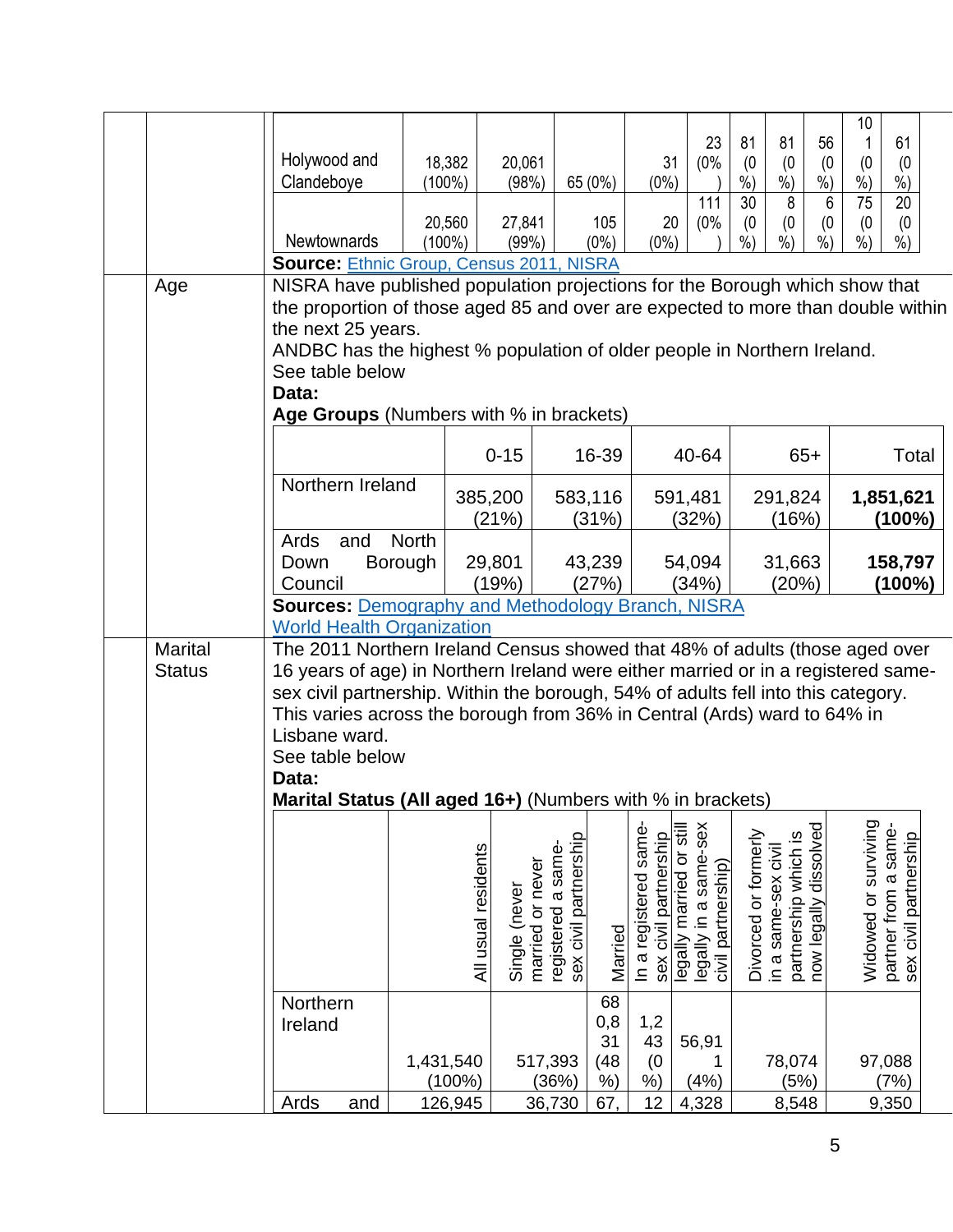|                                                                                                                                                                                                                                                                                                                                                                                                   |                                 | Holywood and<br>Clandeboye                                                                                                                                                                                                                                                                                                                                                                                         | 18,382<br>$(100\%)$               | 20,061<br>(98%)                      |                                                                 | 65 (0%)                                | 31<br>$(0\%)$                                  | 23<br>(0%                                                               | 81<br>(0)<br>$%$ )   | 81<br>(0)<br>$\frac{6}{6}$                  | 56<br>(0)<br>$\dot{\%})$  | 10<br>(0)<br>$\dot{\%}$         | 61<br>(0)<br>$\overline{\frac{9}{6}})$        |
|---------------------------------------------------------------------------------------------------------------------------------------------------------------------------------------------------------------------------------------------------------------------------------------------------------------------------------------------------------------------------------------------------|---------------------------------|--------------------------------------------------------------------------------------------------------------------------------------------------------------------------------------------------------------------------------------------------------------------------------------------------------------------------------------------------------------------------------------------------------------------|-----------------------------------|--------------------------------------|-----------------------------------------------------------------|----------------------------------------|------------------------------------------------|-------------------------------------------------------------------------|----------------------|---------------------------------------------|---------------------------|---------------------------------|-----------------------------------------------|
|                                                                                                                                                                                                                                                                                                                                                                                                   |                                 | <b>Newtownards</b>                                                                                                                                                                                                                                                                                                                                                                                                 | 20,560<br>$(100\%)$               | 27,841<br>(99%)                      |                                                                 | 105<br>$(0\%)$                         | 20<br>$(0\%)$                                  | 111<br>(0%                                                              | 30<br>(0)<br>$%$ )   | 8<br>(0)<br>$%$ )                           | 6<br>(0)<br>$\frac{0}{0}$ | $\overline{75}$<br>(0)<br>$%$ ) | $\overline{20}$<br>(0)<br>$%$ )               |
| <b>Source: Ethnic Group, Census 2011, NISRA</b><br>NISRA have published population projections for the Borough which show that<br>Age<br>the proportion of those aged 85 and over are expected to more than double within<br>the next 25 years.<br>ANDBC has the highest % population of older people in Northern Ireland.<br>See table below<br>Data:<br>Age Groups (Numbers with % in brackets) |                                 |                                                                                                                                                                                                                                                                                                                                                                                                                    |                                   |                                      |                                                                 |                                        |                                                |                                                                         |                      |                                             |                           |                                 |                                               |
|                                                                                                                                                                                                                                                                                                                                                                                                   |                                 | Northern Ireland                                                                                                                                                                                                                                                                                                                                                                                                   |                                   | $0 - 15$                             |                                                                 | 16-39                                  |                                                | 40-64                                                                   |                      | $65+$                                       |                           |                                 | Total                                         |
|                                                                                                                                                                                                                                                                                                                                                                                                   |                                 | Ards<br>and                                                                                                                                                                                                                                                                                                                                                                                                        | <b>North</b>                      | 385,200<br>(21%)                     |                                                                 | 583,116<br>(31%)                       |                                                | 591,481<br>(32%)                                                        |                      | 291,824<br>(16%)                            |                           |                                 | 1,851,621<br>$(100\%)$                        |
|                                                                                                                                                                                                                                                                                                                                                                                                   |                                 | Down<br>Council<br><b>Sources: Demography and Methodology Branch, NISRA</b>                                                                                                                                                                                                                                                                                                                                        | Borough                           | 29,801<br>(19%)                      |                                                                 | 43,239<br>(27%)                        |                                                | 54,094<br>(34%)                                                         |                      | 31,663<br>(20%)                             |                           |                                 | 158,797<br>(100%)                             |
|                                                                                                                                                                                                                                                                                                                                                                                                   | <b>Marital</b><br><b>Status</b> | <b>World Health Organization</b><br>The 2011 Northern Ireland Census showed that 48% of adults (those aged over<br>16 years of age) in Northern Ireland were either married or in a registered same-<br>sex civil partnership. Within the borough, 54% of adults fell into this category.<br>This varies across the borough from 36% in Central (Ards) ward to 64% in<br>Lisbane ward.<br>See table below<br>Data: |                                   |                                      |                                                                 |                                        |                                                |                                                                         |                      |                                             |                           |                                 |                                               |
|                                                                                                                                                                                                                                                                                                                                                                                                   |                                 | Marital Status (All aged 16+) (Numbers with % in brackets)                                                                                                                                                                                                                                                                                                                                                         |                                   | All usual residents<br>Single (never | sex civil partnership<br>registered a same-<br>married or never | Married                                | In a registered same-<br>sex civil partnership | legally in a same-sex<br>legally married or still<br>civil partnership) | Divorced or formerly | partnership which is<br>in a same-sex civil | now legally dissolved     | Widowed or surviving            | partner from a same-<br>sex civil partnership |
|                                                                                                                                                                                                                                                                                                                                                                                                   |                                 | Northern<br>Ireland<br>Ards<br>and                                                                                                                                                                                                                                                                                                                                                                                 | 1,431,540<br>$(100\%)$<br>126,945 |                                      | 517,393<br>(36%)<br>36,730                                      | 68<br>0,8<br>31<br>(48)<br>$%$ )<br>67 | 1,2<br>43<br>(0)<br>%<br>12                    | 56,91<br>(4%)<br>4,328                                                  |                      | 78,074<br>(5%)<br>8,548                     |                           | 97,088                          | (7%<br>9,350                                  |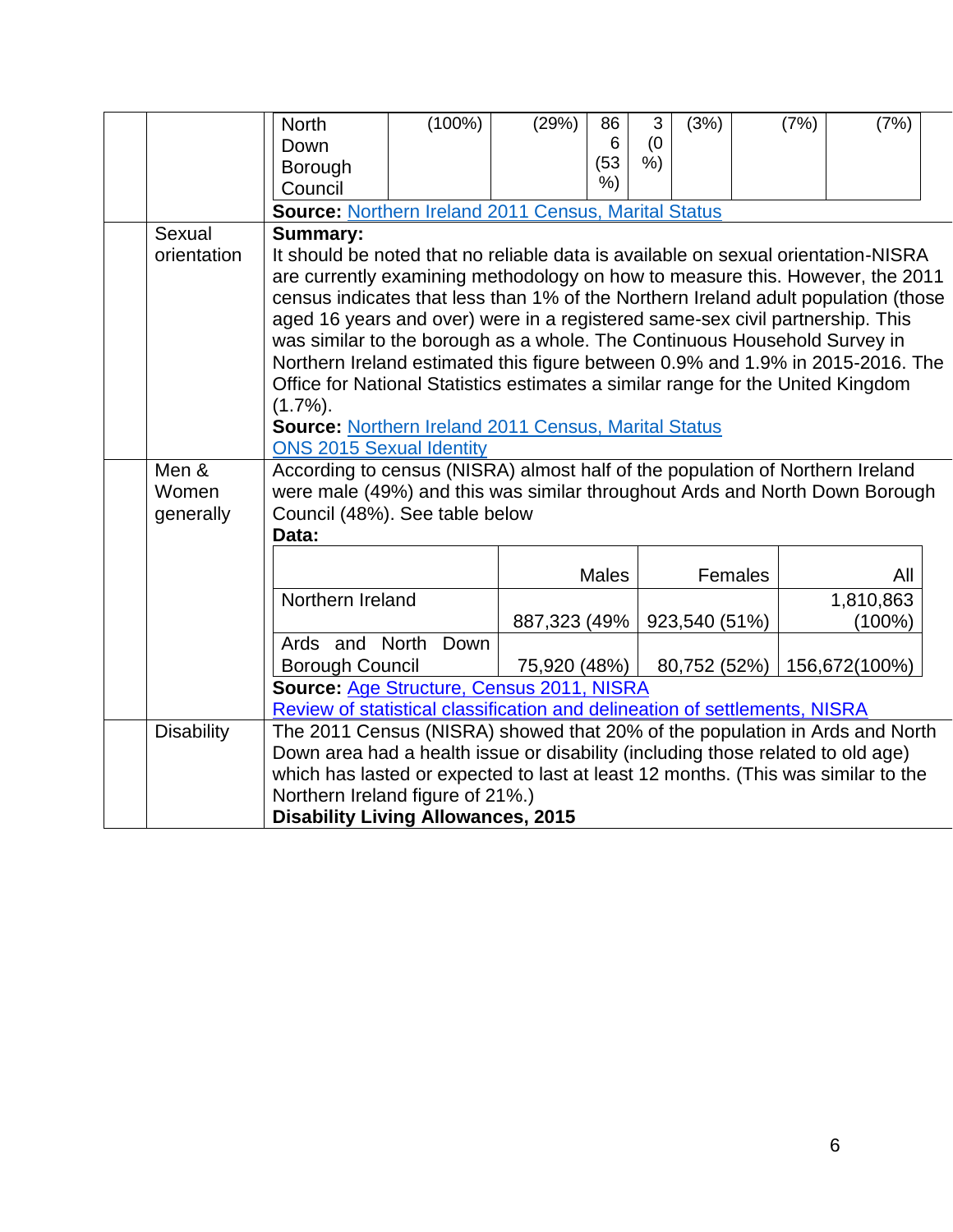|                             | <b>North</b><br>Down<br>Borough<br>Council                                                                                                                                                                                                                                                                                                                                                                                                                                                                                                                                                                                                                                                                                                                                                     | $(100\%)$ | (29%)        | 86<br>6<br>(53)<br>% | 3<br>(0)<br>% | (3%)          |         | (7%) | (7%)                   |  |
|-----------------------------|------------------------------------------------------------------------------------------------------------------------------------------------------------------------------------------------------------------------------------------------------------------------------------------------------------------------------------------------------------------------------------------------------------------------------------------------------------------------------------------------------------------------------------------------------------------------------------------------------------------------------------------------------------------------------------------------------------------------------------------------------------------------------------------------|-----------|--------------|----------------------|---------------|---------------|---------|------|------------------------|--|
| Sexual<br>orientation       | <b>Source: Northern Ireland 2011 Census, Marital Status</b><br><b>Summary:</b><br>It should be noted that no reliable data is available on sexual orientation-NISRA<br>are currently examining methodology on how to measure this. However, the 2011<br>census indicates that less than 1% of the Northern Ireland adult population (those<br>aged 16 years and over) were in a registered same-sex civil partnership. This<br>was similar to the borough as a whole. The Continuous Household Survey in<br>Northern Ireland estimated this figure between 0.9% and 1.9% in 2015-2016. The<br>Office for National Statistics estimates a similar range for the United Kingdom<br>$(1.7\%)$ .<br><b>Source: Northern Ireland 2011 Census, Marital Status</b><br><b>ONS 2015 Sexual Identity</b> |           |              |                      |               |               |         |      |                        |  |
| Men &<br>Women<br>generally | According to census (NISRA) almost half of the population of Northern Ireland<br>were male (49%) and this was similar throughout Ards and North Down Borough<br>Council (48%). See table below<br>Data:                                                                                                                                                                                                                                                                                                                                                                                                                                                                                                                                                                                        |           |              |                      |               |               |         |      |                        |  |
|                             |                                                                                                                                                                                                                                                                                                                                                                                                                                                                                                                                                                                                                                                                                                                                                                                                |           |              | <b>Males</b>         |               |               | Females |      | All                    |  |
|                             | Northern Ireland                                                                                                                                                                                                                                                                                                                                                                                                                                                                                                                                                                                                                                                                                                                                                                               |           | 887,323 (49% |                      |               | 923,540 (51%) |         |      | 1,810,863<br>$(100\%)$ |  |
|                             | Ards and North<br><b>Borough Council</b><br>Source: Age Structure, Census 2011, NISRA                                                                                                                                                                                                                                                                                                                                                                                                                                                                                                                                                                                                                                                                                                          | Down      | 75,920 (48%) |                      |               | 80,752 (52%)  |         |      | 156,672(100%)          |  |
|                             |                                                                                                                                                                                                                                                                                                                                                                                                                                                                                                                                                                                                                                                                                                                                                                                                |           |              |                      |               |               |         |      |                        |  |
| <b>Disability</b>           | Review of statistical classification and delineation of settlements, NISRA<br>The 2011 Census (NISRA) showed that 20% of the population in Ards and North<br>Down area had a health issue or disability (including those related to old age)<br>which has lasted or expected to last at least 12 months. (This was similar to the<br>Northern Ireland figure of 21%.)<br><b>Disability Living Allowances, 2015</b>                                                                                                                                                                                                                                                                                                                                                                             |           |              |                      |               |               |         |      |                        |  |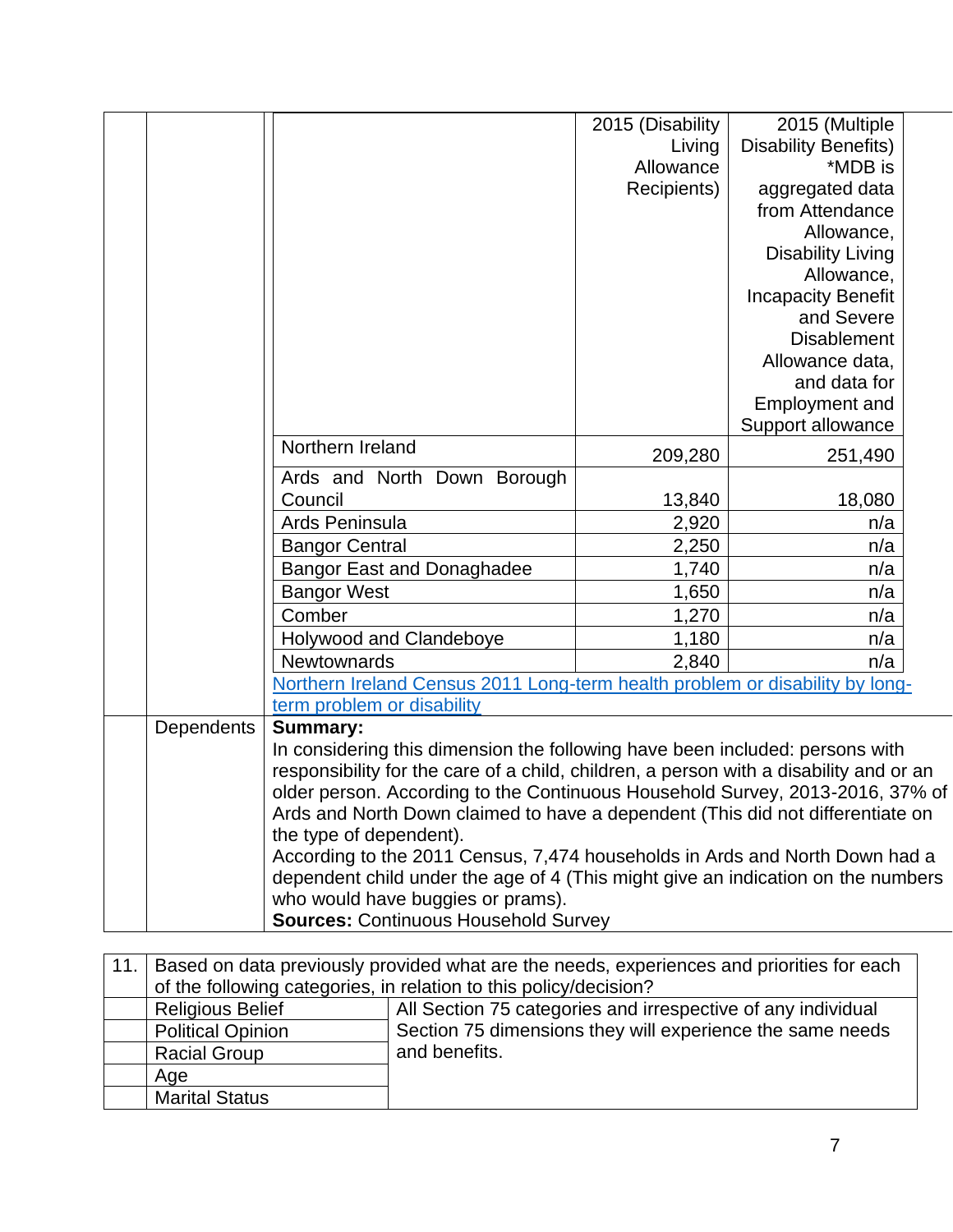|            |                                                                                                                                                                 | 2015 (Disability | 2015 (Multiple              |  |  |  |
|------------|-----------------------------------------------------------------------------------------------------------------------------------------------------------------|------------------|-----------------------------|--|--|--|
|            |                                                                                                                                                                 | Living           | <b>Disability Benefits)</b> |  |  |  |
|            |                                                                                                                                                                 | Allowance        | *MDB is                     |  |  |  |
|            |                                                                                                                                                                 | Recipients)      | aggregated data             |  |  |  |
|            |                                                                                                                                                                 |                  | from Attendance             |  |  |  |
|            |                                                                                                                                                                 |                  | Allowance,                  |  |  |  |
|            |                                                                                                                                                                 |                  | <b>Disability Living</b>    |  |  |  |
|            |                                                                                                                                                                 |                  | Allowance,                  |  |  |  |
|            |                                                                                                                                                                 |                  | <b>Incapacity Benefit</b>   |  |  |  |
|            |                                                                                                                                                                 |                  | and Severe                  |  |  |  |
|            |                                                                                                                                                                 |                  | <b>Disablement</b>          |  |  |  |
|            |                                                                                                                                                                 |                  | Allowance data,             |  |  |  |
|            |                                                                                                                                                                 |                  | and data for                |  |  |  |
|            |                                                                                                                                                                 |                  | <b>Employment and</b>       |  |  |  |
|            |                                                                                                                                                                 |                  | Support allowance           |  |  |  |
|            | Northern Ireland                                                                                                                                                | 209,280          | 251,490                     |  |  |  |
|            | Ards and North Down Borough                                                                                                                                     |                  |                             |  |  |  |
|            | Council                                                                                                                                                         | 13,840           | 18,080                      |  |  |  |
|            | Ards Peninsula                                                                                                                                                  | 2,920            | n/a                         |  |  |  |
|            | <b>Bangor Central</b>                                                                                                                                           | 2,250            | n/a                         |  |  |  |
|            | <b>Bangor East and Donaghadee</b>                                                                                                                               | 1,740            | n/a                         |  |  |  |
|            | <b>Bangor West</b>                                                                                                                                              | 1,650            | n/a                         |  |  |  |
|            | Comber                                                                                                                                                          | 1,270            | n/a                         |  |  |  |
|            | Holywood and Clandeboye                                                                                                                                         | 1,180            | n/a                         |  |  |  |
|            | Newtownards                                                                                                                                                     | 2,840            | n/a                         |  |  |  |
|            | Northern Ireland Census 2011 Long-term health problem or disability by long-                                                                                    |                  |                             |  |  |  |
|            | term problem or disability                                                                                                                                      |                  |                             |  |  |  |
| Dependents | <b>Summary:</b>                                                                                                                                                 |                  |                             |  |  |  |
|            | In considering this dimension the following have been included: persons with                                                                                    |                  |                             |  |  |  |
|            | responsibility for the care of a child, children, a person with a disability and or an                                                                          |                  |                             |  |  |  |
|            | older person. According to the Continuous Household Survey, 2013-2016, 37% of<br>Ards and North Down claimed to have a dependent (This did not differentiate on |                  |                             |  |  |  |
|            |                                                                                                                                                                 |                  |                             |  |  |  |
|            | the type of dependent).                                                                                                                                         |                  |                             |  |  |  |
|            | According to the 2011 Census, 7,474 households in Ards and North Down had a                                                                                     |                  |                             |  |  |  |
|            | dependent child under the age of 4 (This might give an indication on the numbers                                                                                |                  |                             |  |  |  |
|            | who would have buggies or prams).                                                                                                                               |                  |                             |  |  |  |
|            | <b>Sources: Continuous Household Survey</b>                                                                                                                     |                  |                             |  |  |  |

| 11. | Based on data previously provided what are the needs, experiences and priorities for each |                                                              |  |  |  |  |  |
|-----|-------------------------------------------------------------------------------------------|--------------------------------------------------------------|--|--|--|--|--|
|     | of the following categories, in relation to this policy/decision?                         |                                                              |  |  |  |  |  |
|     | <b>Religious Belief</b>                                                                   | All Section 75 categories and irrespective of any individual |  |  |  |  |  |
|     | <b>Political Opinion</b>                                                                  | Section 75 dimensions they will experience the same needs    |  |  |  |  |  |
|     | <b>Racial Group</b>                                                                       | and benefits.                                                |  |  |  |  |  |
|     | Age                                                                                       |                                                              |  |  |  |  |  |
|     | <b>Marital Status</b>                                                                     |                                                              |  |  |  |  |  |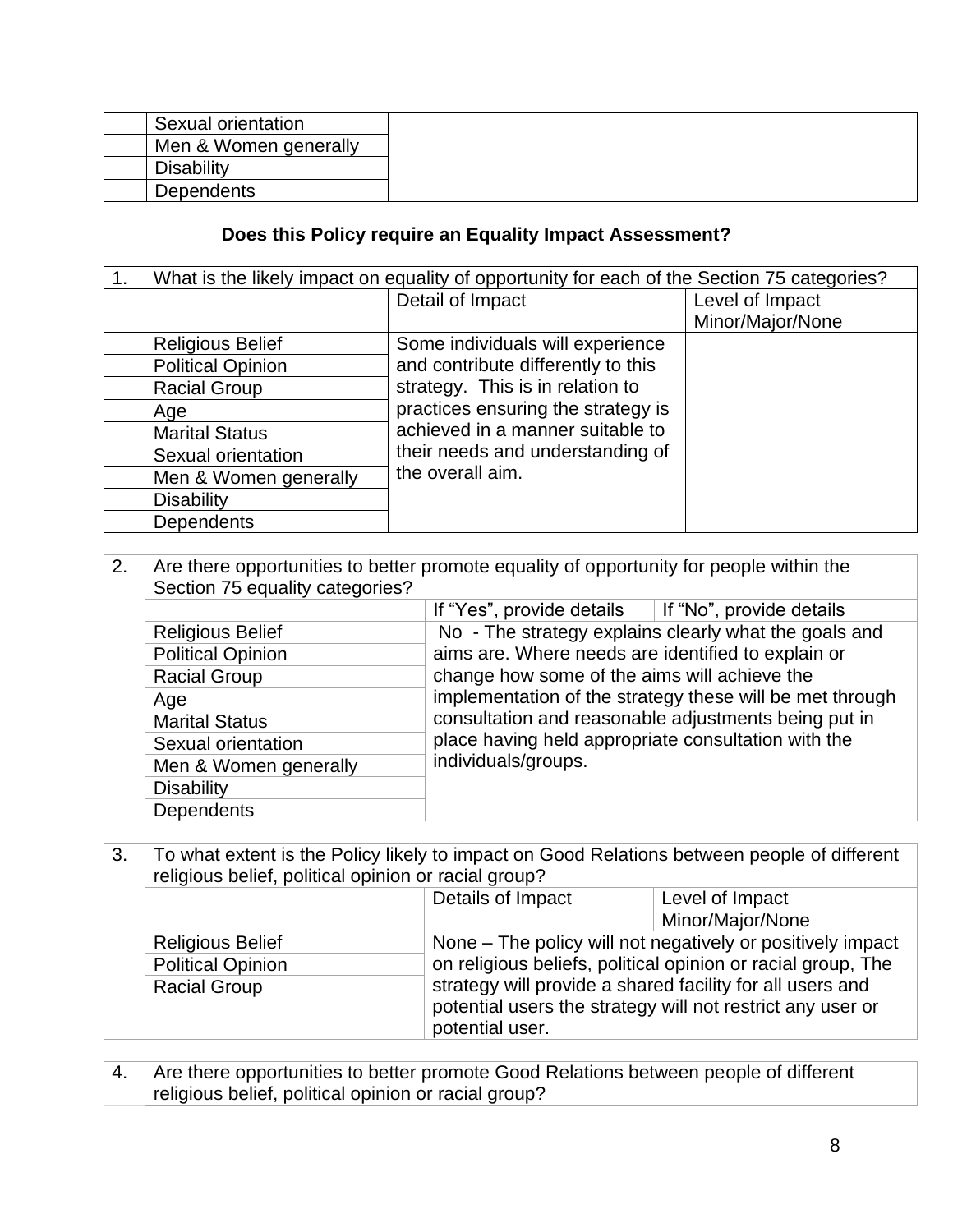| Sexual orientation    |  |
|-----------------------|--|
| Men & Women generally |  |
| Disabilitv            |  |
| Dependents            |  |

## **Does this Policy require an Equality Impact Assessment?**

|                          | What is the likely impact on equality of opportunity for each of the Section 75 categories? |                  |
|--------------------------|---------------------------------------------------------------------------------------------|------------------|
|                          | Detail of Impact                                                                            | Level of Impact  |
|                          |                                                                                             | Minor/Major/None |
| <b>Religious Belief</b>  | Some individuals will experience                                                            |                  |
| <b>Political Opinion</b> | and contribute differently to this                                                          |                  |
| <b>Racial Group</b>      | strategy. This is in relation to                                                            |                  |
| Age                      | practices ensuring the strategy is                                                          |                  |
| <b>Marital Status</b>    | achieved in a manner suitable to                                                            |                  |
| Sexual orientation       | their needs and understanding of                                                            |                  |
| Men & Women generally    | the overall aim.                                                                            |                  |
| <b>Disability</b>        |                                                                                             |                  |
| <b>Dependents</b>        |                                                                                             |                  |

| 2. | Are there opportunities to better promote equality of opportunity for people within the |                                                          |  |  |  |  |  |  |  |
|----|-----------------------------------------------------------------------------------------|----------------------------------------------------------|--|--|--|--|--|--|--|
|    | Section 75 equality categories?                                                         |                                                          |  |  |  |  |  |  |  |
|    |                                                                                         | If "No", provide details<br>If "Yes", provide details    |  |  |  |  |  |  |  |
|    | <b>Religious Belief</b>                                                                 | No - The strategy explains clearly what the goals and    |  |  |  |  |  |  |  |
|    | <b>Political Opinion</b>                                                                | aims are. Where needs are identified to explain or       |  |  |  |  |  |  |  |
|    | <b>Racial Group</b>                                                                     | change how some of the aims will achieve the             |  |  |  |  |  |  |  |
|    | Age                                                                                     | implementation of the strategy these will be met through |  |  |  |  |  |  |  |
|    | <b>Marital Status</b>                                                                   | consultation and reasonable adjustments being put in     |  |  |  |  |  |  |  |
|    | Sexual orientation                                                                      | place having held appropriate consultation with the      |  |  |  |  |  |  |  |
|    | Men & Women generally                                                                   | individuals/groups.                                      |  |  |  |  |  |  |  |
|    | <b>Disability</b>                                                                       |                                                          |  |  |  |  |  |  |  |
|    | Dependents                                                                              |                                                          |  |  |  |  |  |  |  |

| To what extent is the Policy likely to impact on Good Relations between people of different<br>3.<br>religious belief, political opinion or racial group? |                          |                                                                                                                                                                                                                                                       |                  |  |
|-----------------------------------------------------------------------------------------------------------------------------------------------------------|--------------------------|-------------------------------------------------------------------------------------------------------------------------------------------------------------------------------------------------------------------------------------------------------|------------------|--|
|                                                                                                                                                           |                          | Details of Impact<br>Level of Impact                                                                                                                                                                                                                  |                  |  |
|                                                                                                                                                           |                          |                                                                                                                                                                                                                                                       | Minor/Major/None |  |
|                                                                                                                                                           | <b>Religious Belief</b>  | None – The policy will not negatively or positively impact<br>on religious beliefs, political opinion or racial group, The<br>strategy will provide a shared facility for all users and<br>potential users the strategy will not restrict any user or |                  |  |
|                                                                                                                                                           | <b>Political Opinion</b> |                                                                                                                                                                                                                                                       |                  |  |
|                                                                                                                                                           | <b>Racial Group</b>      |                                                                                                                                                                                                                                                       |                  |  |
|                                                                                                                                                           |                          |                                                                                                                                                                                                                                                       |                  |  |
|                                                                                                                                                           |                          | potential user.                                                                                                                                                                                                                                       |                  |  |

4. Are there opportunities to better promote Good Relations between people of different religious belief, political opinion or racial group?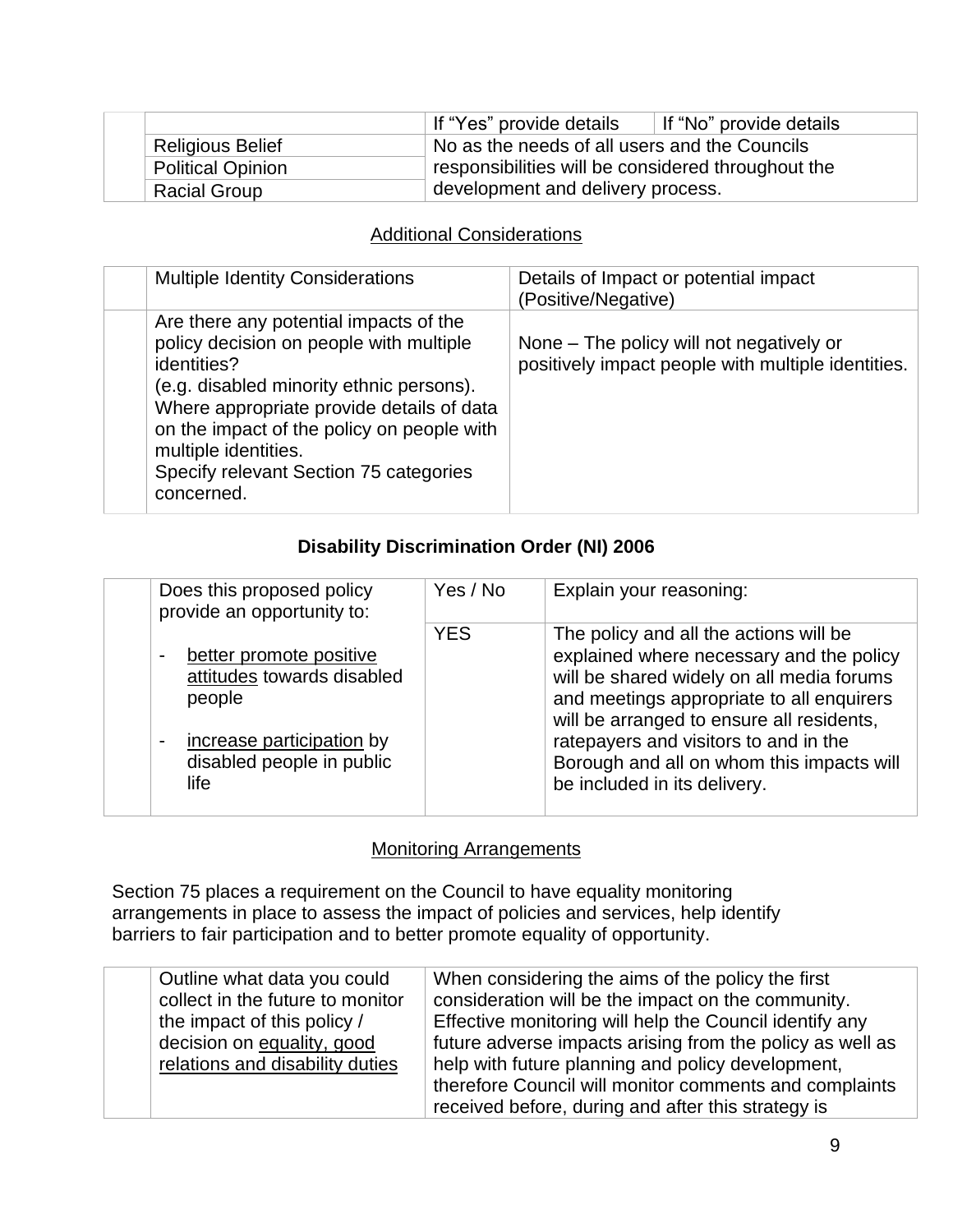|                         | If "Yes" provide details<br>If "No" provide details |  |
|-------------------------|-----------------------------------------------------|--|
| <b>Religious Belief</b> | No as the needs of all users and the Councils       |  |
| Political Opinion       | responsibilities will be considered throughout the  |  |
| <b>Racial Group</b>     | development and delivery process.                   |  |

### Additional Considerations

| <b>Multiple Identity Considerations</b>                                                                                                                                                                                                                                                                                 | Details of Impact or potential impact<br>(Positive/Negative)                                   |
|-------------------------------------------------------------------------------------------------------------------------------------------------------------------------------------------------------------------------------------------------------------------------------------------------------------------------|------------------------------------------------------------------------------------------------|
| Are there any potential impacts of the<br>policy decision on people with multiple<br>identities?<br>(e.g. disabled minority ethnic persons).<br>Where appropriate provide details of data<br>on the impact of the policy on people with<br>multiple identities.<br>Specify relevant Section 75 categories<br>concerned. | None – The policy will not negatively or<br>positively impact people with multiple identities. |

### **Disability Discrimination Order (NI) 2006**

| Does this proposed policy<br>provide an opportunity to:                                                                                                                                   | Yes / No   | Explain your reasoning:                                                                                                                                                                                                                                                                                                                         |
|-------------------------------------------------------------------------------------------------------------------------------------------------------------------------------------------|------------|-------------------------------------------------------------------------------------------------------------------------------------------------------------------------------------------------------------------------------------------------------------------------------------------------------------------------------------------------|
| better promote positive<br>$\overline{\phantom{a}}$<br>attitudes towards disabled<br>people<br>increase participation by<br>$\overline{\phantom{a}}$<br>disabled people in public<br>life | <b>YES</b> | The policy and all the actions will be<br>explained where necessary and the policy<br>will be shared widely on all media forums<br>and meetings appropriate to all enquirers<br>will be arranged to ensure all residents,<br>ratepayers and visitors to and in the<br>Borough and all on whom this impacts will<br>be included in its delivery. |

#### Monitoring Arrangements

Section 75 places a requirement on the Council to have equality monitoring arrangements in place to assess the impact of policies and services, help identify barriers to fair participation and to better promote equality of opportunity.

| Outline what data you could                                   | When considering the aims of the policy the first                                                                                                                                                                              |
|---------------------------------------------------------------|--------------------------------------------------------------------------------------------------------------------------------------------------------------------------------------------------------------------------------|
| collect in the future to monitor                              | consideration will be the impact on the community.                                                                                                                                                                             |
| the impact of this policy /                                   | Effective monitoring will help the Council identify any                                                                                                                                                                        |
| decision on equality, good<br>relations and disability duties | future adverse impacts arising from the policy as well as<br>help with future planning and policy development,<br>therefore Council will monitor comments and complaints<br>received before, during and after this strategy is |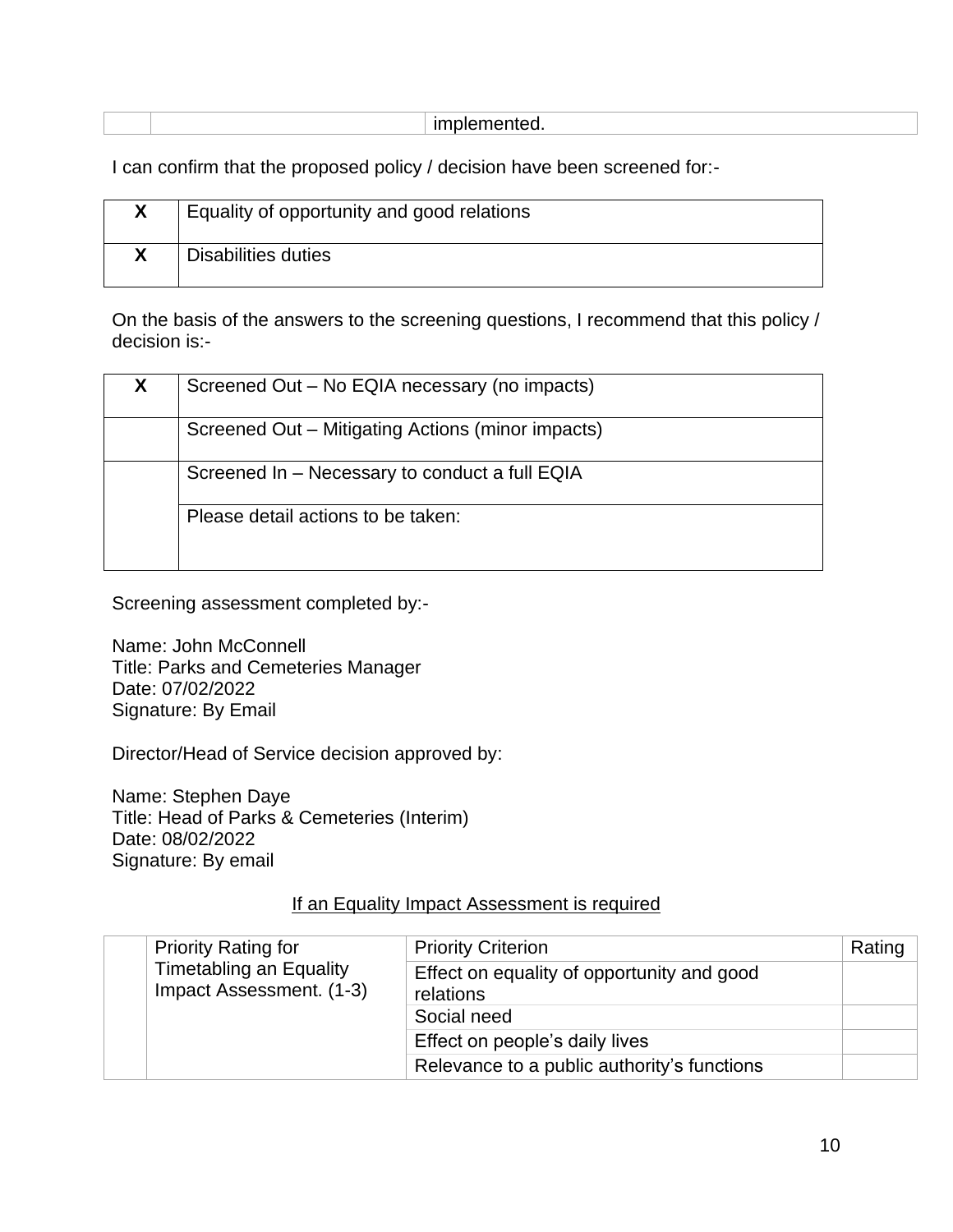|  | . |  |
|--|---|--|
|--|---|--|

I can confirm that the proposed policy / decision have been screened for:-

| Equality of opportunity and good relations |
|--------------------------------------------|
| Disabilities duties                        |

On the basis of the answers to the screening questions, I recommend that this policy / decision is:-

| X | Screened Out - No EQIA necessary (no impacts)     |  |
|---|---------------------------------------------------|--|
|   | Screened Out - Mitigating Actions (minor impacts) |  |
|   | Screened In - Necessary to conduct a full EQIA    |  |
|   | Please detail actions to be taken:                |  |

Screening assessment completed by:-

Name: John McConnell Title: Parks and Cemeteries Manager Date: 07/02/2022 Signature: By Email

Director/Head of Service decision approved by:

Name: Stephen Daye Title: Head of Parks & Cemeteries (Interim) Date: 08/02/2022 Signature: By email

#### If an Equality Impact Assessment is required

|  | <b>Priority Rating for</b>                                 | <b>Priority Criterion</b>                               | Rating |
|--|------------------------------------------------------------|---------------------------------------------------------|--------|
|  | <b>Timetabling an Equality</b><br>Impact Assessment. (1-3) | Effect on equality of opportunity and good<br>relations |        |
|  |                                                            | Social need                                             |        |
|  |                                                            | Effect on people's daily lives                          |        |
|  |                                                            | Relevance to a public authority's functions             |        |